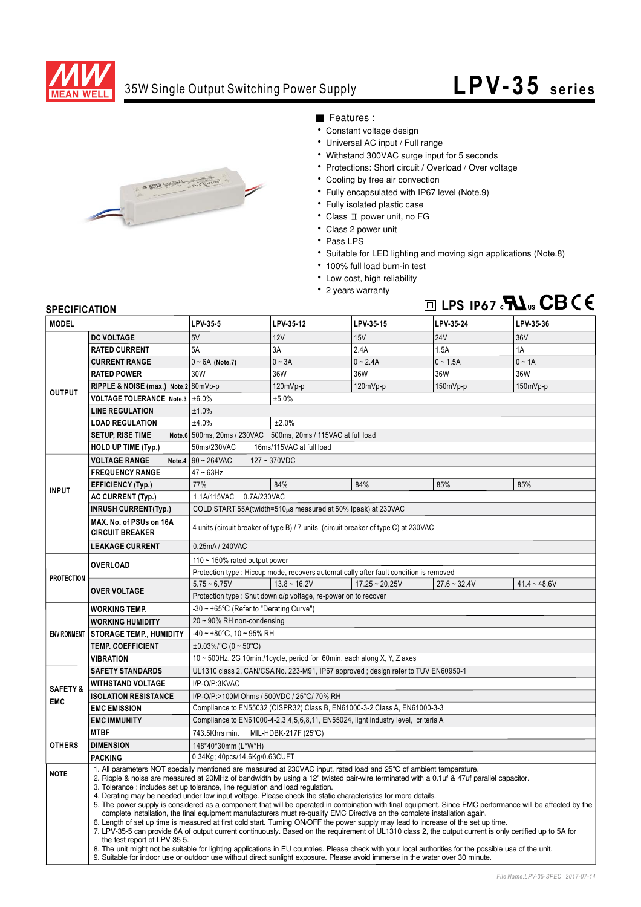

### 35W Single Output Switching Power Supply

# **LPV-35 series**



- Features :
- Constant voltage design
- Universal AC input / Full range
- Withstand 300VAC surge input for 5 seconds
- Protections: Short circuit / Overload / Over voltage
- Cooling by free air convection
- Fully encapsulated with IP67 level (Note.9)
- Fully isolated plastic case
- $\bullet$  Class II power unit, no FG
- Class 2 power unit
- Pass LPS
- Suitable for LED lighting and moving sign applications (Note.8)
- · 100% full load burn-in test
- Low cost, high reliability
- 2 years warranty



### **SPECIFICATION**

| <b>MODEL</b>                      |                                                                                                                                                                                                                                                                                                                                                                                                                                                                                                                                                                                                                                                                                                                                                                                                                                                                                                                                                                                                                                                                                                                                                                                                                                                                                                                                                                                           | LPV-35-5                                                                               | LPV-35-12                                                     | LPV-35-15        | LPV-35-24      | LPV-35-36      |  |
|-----------------------------------|-------------------------------------------------------------------------------------------------------------------------------------------------------------------------------------------------------------------------------------------------------------------------------------------------------------------------------------------------------------------------------------------------------------------------------------------------------------------------------------------------------------------------------------------------------------------------------------------------------------------------------------------------------------------------------------------------------------------------------------------------------------------------------------------------------------------------------------------------------------------------------------------------------------------------------------------------------------------------------------------------------------------------------------------------------------------------------------------------------------------------------------------------------------------------------------------------------------------------------------------------------------------------------------------------------------------------------------------------------------------------------------------|----------------------------------------------------------------------------------------|---------------------------------------------------------------|------------------|----------------|----------------|--|
| <b>OUTPUT</b>                     | <b>DC VOLTAGE</b>                                                                                                                                                                                                                                                                                                                                                                                                                                                                                                                                                                                                                                                                                                                                                                                                                                                                                                                                                                                                                                                                                                                                                                                                                                                                                                                                                                         | 5V                                                                                     | <b>12V</b>                                                    | 15V              | <b>24V</b>     | 36V            |  |
|                                   | <b>RATED CURRENT</b>                                                                                                                                                                                                                                                                                                                                                                                                                                                                                                                                                                                                                                                                                                                                                                                                                                                                                                                                                                                                                                                                                                                                                                                                                                                                                                                                                                      | 5A                                                                                     | 3A                                                            | 2.4A             | 1.5A           | 1A             |  |
|                                   | <b>CURRENT RANGE</b>                                                                                                                                                                                                                                                                                                                                                                                                                                                                                                                                                                                                                                                                                                                                                                                                                                                                                                                                                                                                                                                                                                                                                                                                                                                                                                                                                                      | $0 \sim 6A$ (Note.7)                                                                   | $0 - 3A$                                                      | $0 - 2.4A$       | $0 - 1.5A$     | $0 \sim 1A$    |  |
|                                   | <b>RATED POWER</b>                                                                                                                                                                                                                                                                                                                                                                                                                                                                                                                                                                                                                                                                                                                                                                                                                                                                                                                                                                                                                                                                                                                                                                                                                                                                                                                                                                        | 30W                                                                                    | 36W                                                           | 36W              | 36W            | 36W            |  |
|                                   | RIPPLE & NOISE (max.) Note.2 80mVp-p                                                                                                                                                                                                                                                                                                                                                                                                                                                                                                                                                                                                                                                                                                                                                                                                                                                                                                                                                                                                                                                                                                                                                                                                                                                                                                                                                      |                                                                                        | 120mVp-p                                                      | 120mVp-p         | 150mVp-p       | 150mVp-p       |  |
|                                   | VOLTAGE TOLERANCE Note.3 ±6.0%                                                                                                                                                                                                                                                                                                                                                                                                                                                                                                                                                                                                                                                                                                                                                                                                                                                                                                                                                                                                                                                                                                                                                                                                                                                                                                                                                            |                                                                                        | ±5.0%                                                         |                  |                |                |  |
|                                   | <b>LINE REGULATION</b>                                                                                                                                                                                                                                                                                                                                                                                                                                                                                                                                                                                                                                                                                                                                                                                                                                                                                                                                                                                                                                                                                                                                                                                                                                                                                                                                                                    | ±1.0%                                                                                  |                                                               |                  |                |                |  |
|                                   | <b>LOAD REGULATION</b>                                                                                                                                                                                                                                                                                                                                                                                                                                                                                                                                                                                                                                                                                                                                                                                                                                                                                                                                                                                                                                                                                                                                                                                                                                                                                                                                                                    | ±4.0%                                                                                  | ±2.0%                                                         |                  |                |                |  |
|                                   | <b>SETUP, RISE TIME</b>                                                                                                                                                                                                                                                                                                                                                                                                                                                                                                                                                                                                                                                                                                                                                                                                                                                                                                                                                                                                                                                                                                                                                                                                                                                                                                                                                                   |                                                                                        | Note.6 500ms, 20ms / 230VAC 500ms, 20ms / 115VAC at full load |                  |                |                |  |
|                                   | <b>HOLD UP TIME (Typ.)</b>                                                                                                                                                                                                                                                                                                                                                                                                                                                                                                                                                                                                                                                                                                                                                                                                                                                                                                                                                                                                                                                                                                                                                                                                                                                                                                                                                                | 50ms/230VAC                                                                            | 16ms/115VAC at full load                                      |                  |                |                |  |
|                                   | <b>VOLTAGE RANGE</b>                                                                                                                                                                                                                                                                                                                                                                                                                                                                                                                                                                                                                                                                                                                                                                                                                                                                                                                                                                                                                                                                                                                                                                                                                                                                                                                                                                      | Note.4 $90 - 264$ VAC<br>$127 - 370VDC$                                                |                                                               |                  |                |                |  |
| <b>INPUT</b>                      | <b>FREQUENCY RANGE</b>                                                                                                                                                                                                                                                                                                                                                                                                                                                                                                                                                                                                                                                                                                                                                                                                                                                                                                                                                                                                                                                                                                                                                                                                                                                                                                                                                                    | $47 - 63$ Hz                                                                           |                                                               |                  |                |                |  |
|                                   | <b>EFFICIENCY (Typ.)</b>                                                                                                                                                                                                                                                                                                                                                                                                                                                                                                                                                                                                                                                                                                                                                                                                                                                                                                                                                                                                                                                                                                                                                                                                                                                                                                                                                                  | 77%                                                                                    | 84%                                                           | 84%              | 85%            | 85%            |  |
|                                   | <b>AC CURRENT (Typ.)</b>                                                                                                                                                                                                                                                                                                                                                                                                                                                                                                                                                                                                                                                                                                                                                                                                                                                                                                                                                                                                                                                                                                                                                                                                                                                                                                                                                                  | 0.7A/230VAC<br>1.1A/115VAC                                                             |                                                               |                  |                |                |  |
|                                   | <b>INRUSH CURRENT(Typ.)</b>                                                                                                                                                                                                                                                                                                                                                                                                                                                                                                                                                                                                                                                                                                                                                                                                                                                                                                                                                                                                                                                                                                                                                                                                                                                                                                                                                               | COLD START 55A(twidth=510µs measured at 50% Ipeak) at 230VAC                           |                                                               |                  |                |                |  |
|                                   | MAX. No. of PSUs on 16A<br><b>CIRCUIT BREAKER</b>                                                                                                                                                                                                                                                                                                                                                                                                                                                                                                                                                                                                                                                                                                                                                                                                                                                                                                                                                                                                                                                                                                                                                                                                                                                                                                                                         | 4 units (circuit breaker of type B) / 7 units (circuit breaker of type C) at 230VAC    |                                                               |                  |                |                |  |
|                                   | <b>LEAKAGE CURRENT</b>                                                                                                                                                                                                                                                                                                                                                                                                                                                                                                                                                                                                                                                                                                                                                                                                                                                                                                                                                                                                                                                                                                                                                                                                                                                                                                                                                                    | 0.25mA / 240VAC                                                                        |                                                               |                  |                |                |  |
| <b>PROTECTION</b>                 | <b>OVERLOAD</b>                                                                                                                                                                                                                                                                                                                                                                                                                                                                                                                                                                                                                                                                                                                                                                                                                                                                                                                                                                                                                                                                                                                                                                                                                                                                                                                                                                           | 110 $\sim$ 150% rated output power                                                     |                                                               |                  |                |                |  |
|                                   |                                                                                                                                                                                                                                                                                                                                                                                                                                                                                                                                                                                                                                                                                                                                                                                                                                                                                                                                                                                                                                                                                                                                                                                                                                                                                                                                                                                           | Protection type : Hiccup mode, recovers automatically after fault condition is removed |                                                               |                  |                |                |  |
|                                   | <b>OVER VOLTAGE</b>                                                                                                                                                                                                                                                                                                                                                                                                                                                                                                                                                                                                                                                                                                                                                                                                                                                                                                                                                                                                                                                                                                                                                                                                                                                                                                                                                                       | $5.75 - 6.75V$                                                                         | $13.8 - 16.2V$                                                | $17.25 - 20.25V$ | $27.6 - 32.4V$ | $41.4 - 48.6V$ |  |
|                                   |                                                                                                                                                                                                                                                                                                                                                                                                                                                                                                                                                                                                                                                                                                                                                                                                                                                                                                                                                                                                                                                                                                                                                                                                                                                                                                                                                                                           | Protection type : Shut down o/p voltage, re-power on to recover                        |                                                               |                  |                |                |  |
| <b>ENVIRONMENT</b>                | <b>WORKING TEMP.</b>                                                                                                                                                                                                                                                                                                                                                                                                                                                                                                                                                                                                                                                                                                                                                                                                                                                                                                                                                                                                                                                                                                                                                                                                                                                                                                                                                                      | -30 ~ +65°C (Refer to "Derating Curve")                                                |                                                               |                  |                |                |  |
|                                   | <b>WORKING HUMIDITY</b>                                                                                                                                                                                                                                                                                                                                                                                                                                                                                                                                                                                                                                                                                                                                                                                                                                                                                                                                                                                                                                                                                                                                                                                                                                                                                                                                                                   | $20 \sim 90\%$ RH non-condensing                                                       |                                                               |                  |                |                |  |
|                                   | <b>STORAGE TEMP., HUMIDITY</b>                                                                                                                                                                                                                                                                                                                                                                                                                                                                                                                                                                                                                                                                                                                                                                                                                                                                                                                                                                                                                                                                                                                                                                                                                                                                                                                                                            | $-40 \sim +80^{\circ}$ C, 10 ~ 95% RH                                                  |                                                               |                  |                |                |  |
|                                   | <b>TEMP. COEFFICIENT</b>                                                                                                                                                                                                                                                                                                                                                                                                                                                                                                                                                                                                                                                                                                                                                                                                                                                                                                                                                                                                                                                                                                                                                                                                                                                                                                                                                                  | $\pm 0.03\%$ /°C (0 ~ 50°C)                                                            |                                                               |                  |                |                |  |
|                                   | VIBRATION                                                                                                                                                                                                                                                                                                                                                                                                                                                                                                                                                                                                                                                                                                                                                                                                                                                                                                                                                                                                                                                                                                                                                                                                                                                                                                                                                                                 | 10 ~ 500Hz, 2G 10min./1cycle, period for 60min. each along X, Y, Z axes                |                                                               |                  |                |                |  |
|                                   | <b>SAFETY STANDARDS</b>                                                                                                                                                                                                                                                                                                                                                                                                                                                                                                                                                                                                                                                                                                                                                                                                                                                                                                                                                                                                                                                                                                                                                                                                                                                                                                                                                                   | UL1310 class 2, CAN/CSA No. 223-M91, IP67 approved ; design refer to TUV EN60950-1     |                                                               |                  |                |                |  |
| <b>SAFETY &amp;</b><br><b>EMC</b> | <b>WITHSTAND VOLTAGE</b>                                                                                                                                                                                                                                                                                                                                                                                                                                                                                                                                                                                                                                                                                                                                                                                                                                                                                                                                                                                                                                                                                                                                                                                                                                                                                                                                                                  | I/P-O/P:3KVAC                                                                          |                                                               |                  |                |                |  |
|                                   | <b>ISOLATION RESISTANCE</b>                                                                                                                                                                                                                                                                                                                                                                                                                                                                                                                                                                                                                                                                                                                                                                                                                                                                                                                                                                                                                                                                                                                                                                                                                                                                                                                                                               | I/P-O/P:>100M Ohms / 500VDC / 25°C/ 70% RH                                             |                                                               |                  |                |                |  |
|                                   | <b>EMC EMISSION</b>                                                                                                                                                                                                                                                                                                                                                                                                                                                                                                                                                                                                                                                                                                                                                                                                                                                                                                                                                                                                                                                                                                                                                                                                                                                                                                                                                                       | Compliance to EN55032 (CISPR32) Class B, EN61000-3-2 Class A, EN61000-3-3              |                                                               |                  |                |                |  |
|                                   | <b>EMC IMMUNITY</b>                                                                                                                                                                                                                                                                                                                                                                                                                                                                                                                                                                                                                                                                                                                                                                                                                                                                                                                                                                                                                                                                                                                                                                                                                                                                                                                                                                       | Compliance to EN61000-4-2,3,4,5,6,8,11, EN55024, light industry level, criteria A      |                                                               |                  |                |                |  |
| <b>OTHERS</b>                     | <b>MTBF</b>                                                                                                                                                                                                                                                                                                                                                                                                                                                                                                                                                                                                                                                                                                                                                                                                                                                                                                                                                                                                                                                                                                                                                                                                                                                                                                                                                                               | 743.5Khrs min.<br>MIL-HDBK-217F (25°C)                                                 |                                                               |                  |                |                |  |
|                                   | <b>DIMENSION</b>                                                                                                                                                                                                                                                                                                                                                                                                                                                                                                                                                                                                                                                                                                                                                                                                                                                                                                                                                                                                                                                                                                                                                                                                                                                                                                                                                                          | 148*40*30mm (L*W*H)                                                                    |                                                               |                  |                |                |  |
|                                   | <b>PACKING</b>                                                                                                                                                                                                                                                                                                                                                                                                                                                                                                                                                                                                                                                                                                                                                                                                                                                                                                                                                                                                                                                                                                                                                                                                                                                                                                                                                                            | 0.34Kg; 40pcs/14.6Kg/0.63CUFT                                                          |                                                               |                  |                |                |  |
| <b>NOTE</b>                       | 1. All parameters NOT specially mentioned are measured at 230VAC input, rated load and 25°C of ambient temperature.<br>2. Ripple & noise are measured at 20MHz of bandwidth by using a 12" twisted pair-wire terminated with a 0.1uf & 47uf parallel capacitor.<br>3. Tolerance: includes set up tolerance, line regulation and load regulation.<br>4. Derating may be needed under low input voltage. Please check the static characteristics for more details.<br>5. The power supply is considered as a component that will be operated in combination with final equipment. Since EMC performance will be affected by the<br>complete installation, the final equipment manufacturers must re-qualify EMC Directive on the complete installation again.<br>6. Length of set up time is measured at first cold start. Turning ON/OFF the power supply may lead to increase of the set up time.<br>7. LPV-35-5 can provide 6A of output current continuously. Based on the requirement of UL1310 class 2, the output current is only certified up to 5A for<br>the test report of LPV-35-5.<br>8. The unit might not be suitable for lighting applications in EU countries. Please check with your local authorities for the possible use of the unit.<br>9. Suitable for indoor use or outdoor use without direct sunlight exposure. Please avoid immerse in the water over 30 minute. |                                                                                        |                                                               |                  |                |                |  |